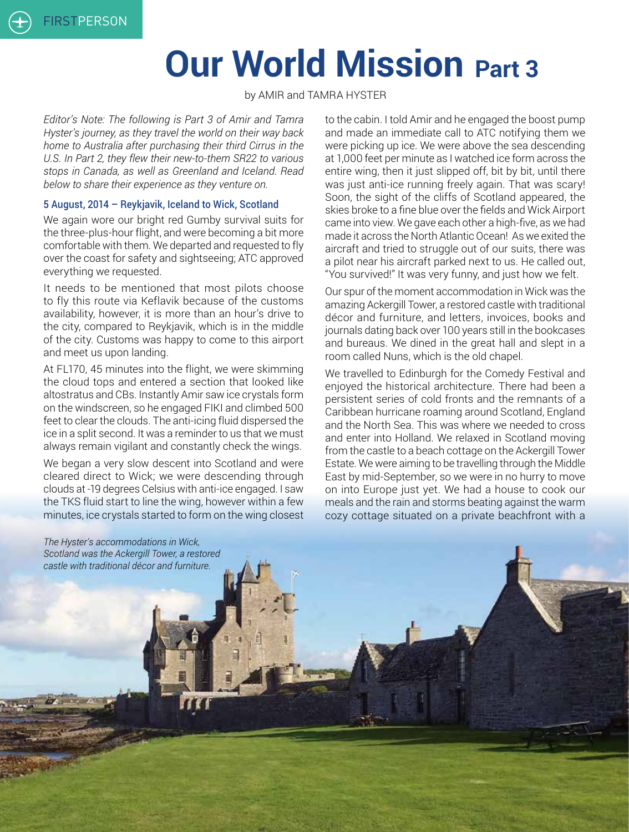# **Our World Mission Part 3**

by AMIR and TAMRA HYSTER

38 ■ **CIRRUS PILOT** NOVEMBER/DECEMBER 2015

*Editor's Note: The following is Part 3 of Amir and Tamra Hyster's journey, as they travel the world on their way back home to Australia after purchasing their third Cirrus in the U.S. In Part 2, they flew their new-to-them SR22 to various stops in Canada, as well as Greenland and Iceland. Read below to share their experience as they venture on.*

#### 5 August, 2014 – Reykjavik, Iceland to Wick, Scotland

We again wore our bright red Gumby survival suits for the three-plus-hour flight, and were becoming a bit more comfortable with them. We departed and requested to fly over the coast for safety and sightseeing; ATC approved everything we requested.

It needs to be mentioned that most pilots choose to fly this route via Keflavik because of the customs availability, however, it is more than an hour's drive to the city, compared to Reykjavik, which is in the middle of the city. Customs was happy to come to this airport and meet us upon landing.

At FL170, 45 minutes into the flight, we were skimming the cloud tops and entered a section that looked like altostratus and CBs. Instantly Amir saw ice crystals form on the windscreen, so he engaged FIKI and climbed 500 feet to clear the clouds. The anti-icing fluid dispersed the ice in a split second. It was a reminder to us that we must always remain vigilant and constantly check the wings.

We began a very slow descent into Scotland and were cleared direct to Wick; we were descending through clouds at -19 degrees Celsius with anti-ice engaged. I saw the TKS fluid start to line the wing, however within a few minutes, ice crystals started to form on the wing closest

*The Hyster's accommodations in Wick, Scotland was the Ackergill Tower, a restored castle with traditional décor and furniture.*

to the cabin. I told Amir and he engaged the boost pump and made an immediate call to ATC notifying them we were picking up ice. We were above the sea descending at 1,000 feet per minute as I watched ice form across the entire wing, then it just slipped off, bit by bit, until there was just anti-ice running freely again. That was scary! Soon, the sight of the cliffs of Scotland appeared, the skies broke to a fine blue over the fields and Wick Airport came into view. We gave each other a high-five, as we had made it across the North Atlantic Ocean! As we exited the aircraft and tried to struggle out of our suits, there was a pilot near his aircraft parked next to us. He called out, "You survived!" It was very funny, and just how we felt.

Our spur of the moment accommodation in Wick was the amazing Ackergill Tower, a restored castle with traditional décor and furniture, and letters, invoices, books and journals dating back over 100 years still in the bookcases and bureaus. We dined in the great hall and slept in a room called Nuns, which is the old chapel.

We travelled to Edinburgh for the Comedy Festival and enjoyed the historical architecture. There had been a persistent series of cold fronts and the remnants of a Caribbean hurricane roaming around Scotland, England and the North Sea. This was where we needed to cross and enter into Holland. We relaxed in Scotland moving from the castle to a beach cottage on the Ackergill Tower Estate. We were aiming to be travelling through the Middle East by mid-September, so we were in no hurry to move on into Europe just yet. We had a house to cook our meals and the rain and storms beating against the warm cozy cottage situated on a private beachfront with a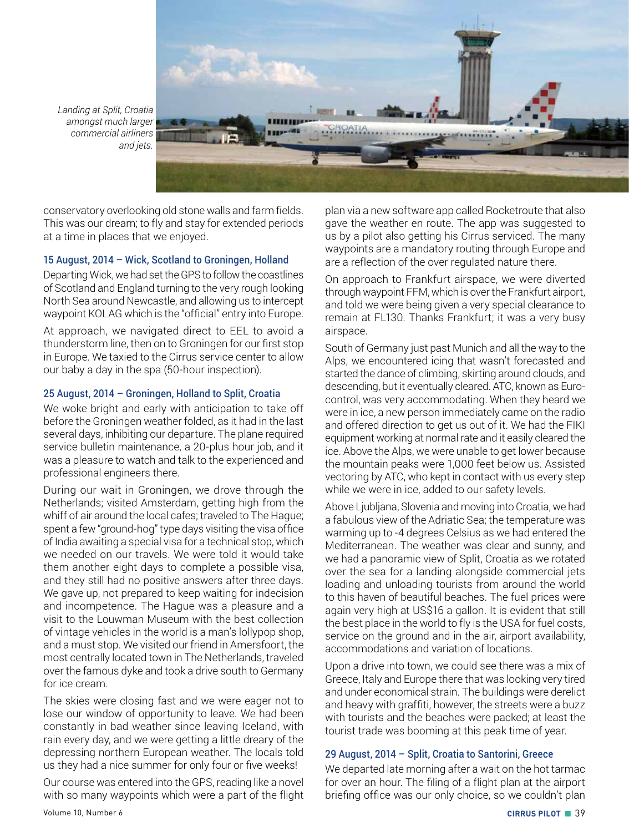

*Landing at Split, Croatia amongst much larger commercial airliners and jets.*

conservatory overlooking old stone walls and farm fields. This was our dream; to fly and stay for extended periods at a time in places that we enjoyed.

#### 15 August, 2014 – Wick, Scotland to Groningen, Holland

Departing Wick, we had set the GPS to follow the coastlines of Scotland and England turning to the very rough looking North Sea around Newcastle, and allowing us to intercept waypoint KOLAG which is the "official" entry into Europe.

At approach, we navigated direct to EEL to avoid a thunderstorm line, then on to Groningen for our first stop in Europe. We taxied to the Cirrus service center to allow our baby a day in the spa (50-hour inspection).

#### 25 August, 2014 – Groningen, Holland to Split, Croatia

We woke bright and early with anticipation to take off before the Groningen weather folded, as it had in the last several days, inhibiting our departure. The plane required service bulletin maintenance, a 20-plus hour job, and it was a pleasure to watch and talk to the experienced and professional engineers there.

During our wait in Groningen, we drove through the Netherlands; visited Amsterdam, getting high from the whiff of air around the local cafes; traveled to The Hague; spent a few "ground-hog" type days visiting the visa office of India awaiting a special visa for a technical stop, which we needed on our travels. We were told it would take them another eight days to complete a possible visa, and they still had no positive answers after three days. We gave up, not prepared to keep waiting for indecision and incompetence. The Hague was a pleasure and a visit to the Louwman Museum with the best collection of vintage vehicles in the world is a man's lollypop shop, and a must stop. We visited our friend in Amersfoort, the most centrally located town in The Netherlands, traveled over the famous dyke and took a drive south to Germany for ice cream.

The skies were closing fast and we were eager not to lose our window of opportunity to leave. We had been constantly in bad weather since leaving Iceland, with rain every day, and we were getting a little dreary of the depressing northern European weather. The locals told us they had a nice summer for only four or five weeks!

Our course was entered into the GPS, reading like a novel with so many waypoints which were a part of the flight plan via a new software app called Rocketroute that also gave the weather en route. The app was suggested to us by a pilot also getting his Cirrus serviced. The many waypoints are a mandatory routing through Europe and are a reflection of the over regulated nature there.

On approach to Frankfurt airspace, we were diverted through waypoint FFM, which is over the Frankfurt airport, and told we were being given a very special clearance to remain at FL130. Thanks Frankfurt; it was a very busy airspace.

South of Germany just past Munich and all the way to the Alps, we encountered icing that wasn't forecasted and started the dance of climbing, skirting around clouds, and descending, but it eventually cleared. ATC, known as Eurocontrol, was very accommodating. When they heard we were in ice, a new person immediately came on the radio and offered direction to get us out of it. We had the FIKI equipment working at normal rate and it easily cleared the ice. Above the Alps, we were unable to get lower because the mountain peaks were 1,000 feet below us. Assisted vectoring by ATC, who kept in contact with us every step while we were in ice, added to our safety levels.

Above Ljubljana, Slovenia and moving into Croatia, we had a fabulous view of the Adriatic Sea; the temperature was warming up to -4 degrees Celsius as we had entered the Mediterranean. The weather was clear and sunny, and we had a panoramic view of Split, Croatia as we rotated over the sea for a landing alongside commercial jets loading and unloading tourists from around the world to this haven of beautiful beaches. The fuel prices were again very high at US\$16 a gallon. It is evident that still the best place in the world to fly is the USA for fuel costs, service on the ground and in the air, airport availability, accommodations and variation of locations.

Upon a drive into town, we could see there was a mix of Greece, Italy and Europe there that was looking very tired and under economical strain. The buildings were derelict and heavy with graffiti, however, the streets were a buzz with tourists and the beaches were packed; at least the tourist trade was booming at this peak time of year.

#### 29 August, 2014 – Split, Croatia to Santorini, Greece

We departed late morning after a wait on the hot tarmac for over an hour. The filing of a flight plan at the airport briefing office was our only choice, so we couldn't plan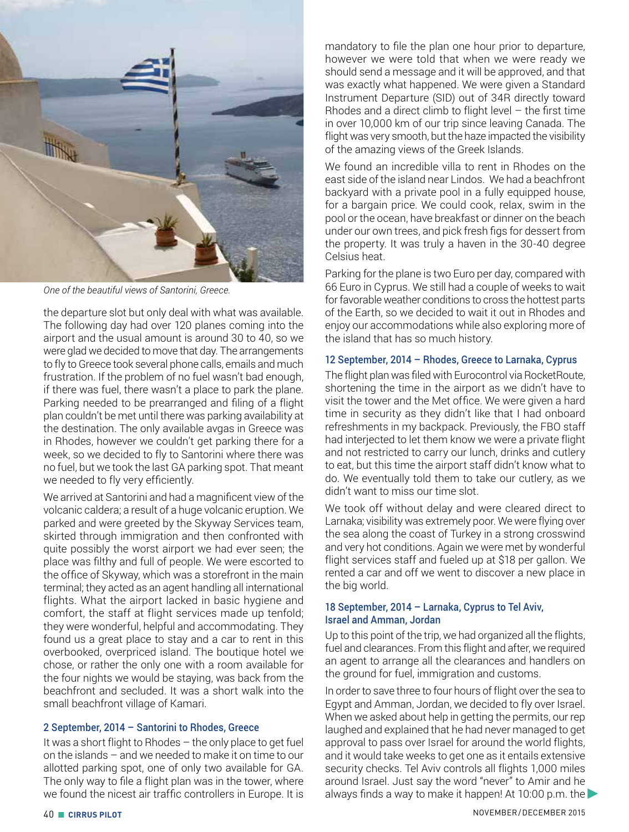

*One of the beautiful views of Santorini, Greece.*

the departure slot but only deal with what was available. The following day had over 120 planes coming into the airport and the usual amount is around 30 to 40, so we were glad we decided to move that day. The arrangements to fly to Greece took several phone calls, emails and much frustration. If the problem of no fuel wasn't bad enough, if there was fuel, there wasn't a place to park the plane. Parking needed to be prearranged and filing of a flight plan couldn't be met until there was parking availability at the destination. The only available avgas in Greece was in Rhodes, however we couldn't get parking there for a week, so we decided to fly to Santorini where there was no fuel, but we took the last GA parking spot. That meant we needed to fly very efficiently.

We arrived at Santorini and had a magnificent view of the volcanic caldera; a result of a huge volcanic eruption. We parked and were greeted by the Skyway Services team, skirted through immigration and then confronted with quite possibly the worst airport we had ever seen; the place was filthy and full of people. We were escorted to the office of Skyway, which was a storefront in the main terminal; they acted as an agent handling all international flights. What the airport lacked in basic hygiene and comfort, the staff at flight services made up tenfold; they were wonderful, helpful and accommodating. They found us a great place to stay and a car to rent in this overbooked, overpriced island. The boutique hotel we chose, or rather the only one with a room available for the four nights we would be staying, was back from the beachfront and secluded. It was a short walk into the small beachfront village of Kamari.

#### 2 September, 2014 – Santorini to Rhodes, Greece

It was a short flight to Rhodes – the only place to get fuel on the islands – and we needed to make it on time to our allotted parking spot, one of only two available for GA. The only way to file a flight plan was in the tower, where we found the nicest air traffic controllers in Europe. It is

mandatory to file the plan one hour prior to departure, however we were told that when we were ready we should send a message and it will be approved, and that was exactly what happened. We were given a Standard Instrument Departure (SID) out of 34R directly toward Rhodes and a direct climb to flight level  $-$  the first time in over 10,000 km of our trip since leaving Canada. The flight was very smooth, but the haze impacted the visibility of the amazing views of the Greek Islands.

We found an incredible villa to rent in Rhodes on the east side of the island near Lindos. We had a beachfront backyard with a private pool in a fully equipped house, for a bargain price. We could cook, relax, swim in the pool or the ocean, have breakfast or dinner on the beach under our own trees, and pick fresh figs for dessert from the property. It was truly a haven in the 30-40 degree Celsius heat.

Parking for the plane is two Euro per day, compared with 66 Euro in Cyprus. We still had a couple of weeks to wait for favorable weather conditions to cross the hottest parts of the Earth, so we decided to wait it out in Rhodes and enjoy our accommodations while also exploring more of the island that has so much history.

#### 12 September, 2014 – Rhodes, Greece to Larnaka, Cyprus

The flight plan was filed with Eurocontrol via RocketRoute, shortening the time in the airport as we didn't have to visit the tower and the Met office. We were given a hard time in security as they didn't like that I had onboard refreshments in my backpack. Previously, the FBO staff had interjected to let them know we were a private flight and not restricted to carry our lunch, drinks and cutlery to eat, but this time the airport staff didn't know what to do. We eventually told them to take our cutlery, as we didn't want to miss our time slot.

We took off without delay and were cleared direct to Larnaka; visibility was extremely poor. We were flying over the sea along the coast of Turkey in a strong crosswind and very hot conditions. Again we were met by wonderful flight services staff and fueled up at \$18 per gallon. We rented a car and off we went to discover a new place in the big world.

#### 18 September, 2014 – Larnaka, Cyprus to Tel Aviv, Israel and Amman, Jordan

Up to this point of the trip, we had organized all the flights, fuel and clearances. From this flight and after, we required an agent to arrange all the clearances and handlers on the ground for fuel, immigration and customs.

In order to save three to four hours of flight over the sea to Egypt and Amman, Jordan, we decided to fly over Israel. When we asked about help in getting the permits, our rep laughed and explained that he had never managed to get approval to pass over Israel for around the world flights, and it would take weeks to get one as it entails extensive security checks. Tel Aviv controls all flights 1,000 miles around Israel. Just say the word "never" to Amir and he always finds a way to make it happen! At 10:00 p.m. the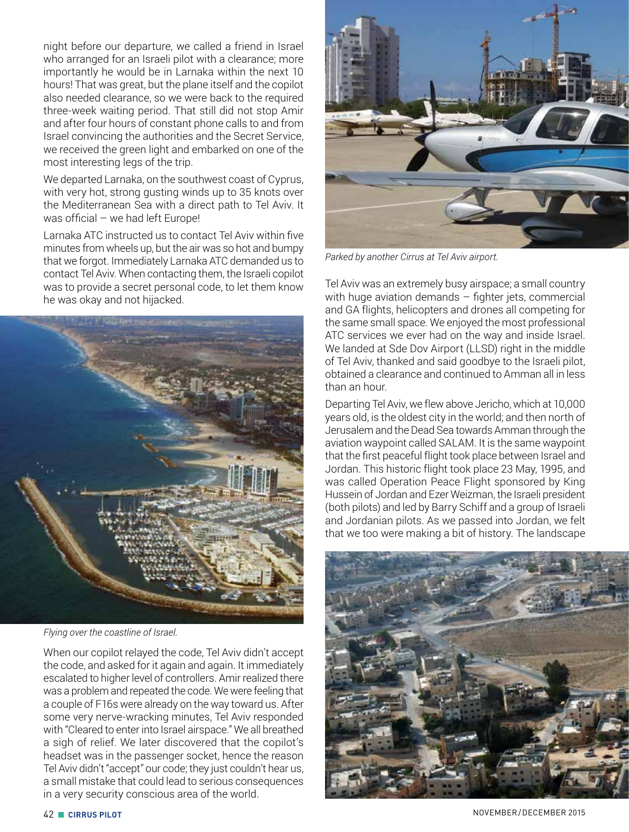night before our departure, we called a friend in Israel who arranged for an Israeli pilot with a clearance; more importantly he would be in Larnaka within the next 10 hours! That was great, but the plane itself and the copilot also needed clearance, so we were back to the required three-week waiting period. That still did not stop Amir and after four hours of constant phone calls to and from Israel convincing the authorities and the Secret Service, we received the green light and embarked on one of the most interesting legs of the trip.

We departed Larnaka, on the southwest coast of Cyprus, with very hot, strong gusting winds up to 35 knots over the Mediterranean Sea with a direct path to Tel Aviv. It was official – we had left Europe!

Larnaka ATC instructed us to contact Tel Aviv within five minutes from wheels up, but the air was so hot and bumpy that we forgot. Immediately Larnaka ATC demanded us to contact Tel Aviv. When contacting them, the Israeli copilot was to provide a secret personal code, to let them know he was okay and not hijacked.



*Flying over the coastline of Israel.*

When our copilot relayed the code, Tel Aviv didn't accept the code, and asked for it again and again. It immediately escalated to higher level of controllers. Amir realized there was a problem and repeated the code. We were feeling that a couple of F16s were already on the way toward us. After some very nerve-wracking minutes, Tel Aviv responded with "Cleared to enter into Israel airspace." We all breathed a sigh of relief. We later discovered that the copilot's headset was in the passenger socket, hence the reason Tel Aviv didn't "accept" our code; they just couldn't hear us, a small mistake that could lead to serious consequences in a very security conscious area of the world.



*Parked by another Cirrus at Tel Aviv airport.*

Tel Aviv was an extremely busy airspace; a small country with huge aviation demands – fighter jets, commercial and GA flights, helicopters and drones all competing for the same small space. We enjoyed the most professional ATC services we ever had on the way and inside Israel. We landed at Sde Dov Airport (LLSD) right in the middle of Tel Aviv, thanked and said goodbye to the Israeli pilot, obtained a clearance and continued to Amman all in less than an hour.

Departing Tel Aviv, we flew above Jericho, which at 10,000 years old, is the oldest city in the world; and then north of Jerusalem and the Dead Sea towards Amman through the aviation waypoint called SALAM. It is the same waypoint that the first peaceful flight took place between Israel and Jordan. This historic flight took place 23 May, 1995, and was called Operation Peace Flight sponsored by King Hussein of Jordan and Ezer Weizman, the Israeli president (both pilots) and led by Barry Schiff and a group of Israeli and Jordanian pilots. As we passed into Jordan, we felt that we too were making a bit of history. The landscape



42 ■ **CIRRUS PILOT** NOVEMBER/DECEMBER 2015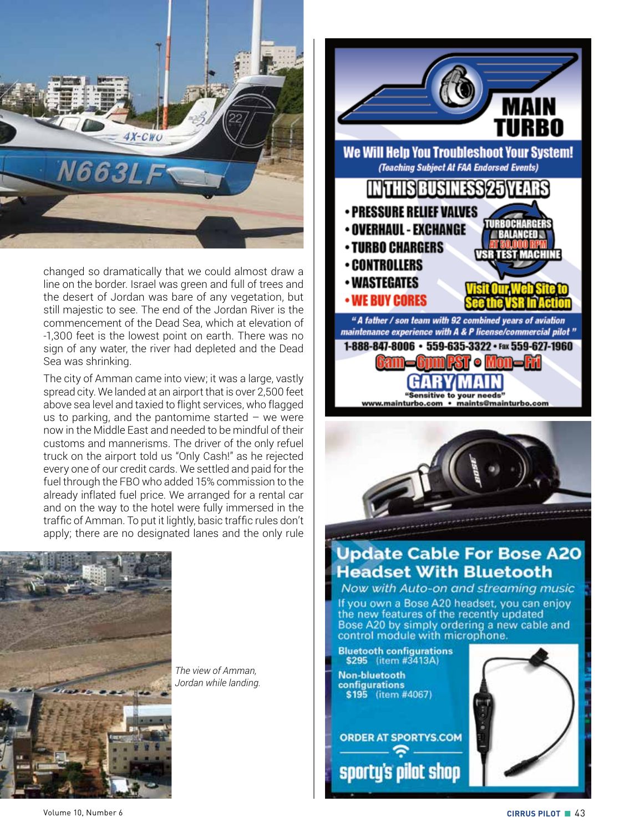

changed so dramatically that we could almost draw a line on the border. Israel was green and full of trees and the desert of Jordan was bare of any vegetation, but still majestic to see. The end of the Jordan River is the commencement of the Dead Sea, which at elevation of -1,300 feet is the lowest point on earth. There was no sign of any water, the river had depleted and the Dead Sea was shrinking.

The city of Amman came into view; it was a large, vastly spread city. We landed at an airport that is over 2,500 feet above sea level and taxied to flight services, who flagged us to parking, and the pantomime started  $-$  we were now in the Middle East and needed to be mindful of their customs and mannerisms. The driver of the only refuel truck on the airport told us "Only Cash!" as he rejected every one of our credit cards. We settled and paid for the fuel through the FBO who added 15% commission to the already inflated fuel price. We arranged for a rental car and on the way to the hotel were fully immersed in the traffic of Amman. To put it lightly, basic traffic rules don't apply; there are no designated lanes and the only rule



*The view of Amman, Jordan while landing.*





# **Update Cable For Bose A20 Headset With Bluetooth**

Now with Auto-on and streaming music

If you own a Bose A20 headset, you can enjoy the new features of the recently updated<br>Bose A20 by simply ordering a new cable and control module with microphone.

**Bluetooth configurations** \$295 (item #3413A)

**ORDER AT SPORTYS.COM** 

sporty's pilot shop

Non-bluetooth configurations \$195 (item #4067)